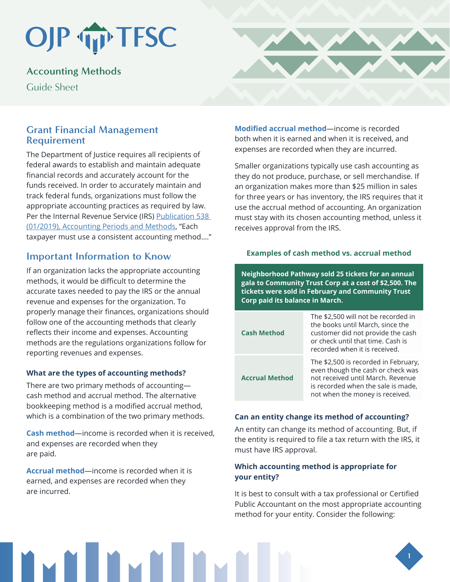# OJP TP TFSC

# **Accounting Methods**

Guide Sheet

## **Grant Financial Management Requirement**

The Department of Justice requires all recipients of federal awards to establish and maintain adequate financial records and accurately account for the funds received. In order to accurately maintain and track federal funds, organizations must follow the appropriate accounting practices as required by law. Per the Internal Revenue Service (IRS) [Publication 538](https://www.irs.gov/publications/p538)  [\(01/2019\), Accounting Periods and Methods,](https://www.irs.gov/publications/p538) "Each taxpayer must use a consistent accounting method…."

# **Important Information to Know**

If an organization lacks the appropriate accounting methods, it would be difficult to determine the accurate taxes needed to pay the IRS or the annual revenue and expenses for the organization. To properly manage their finances, organizations should follow one of the accounting methods that clearly reflects their income and expenses. Accounting methods are the regulations organizations follow for reporting revenues and expenses.

#### **What are the types of accounting methods?**

There are two primary methods of accounting cash method and accrual method. The alternative bookkeeping method is a modified accrual method, which is a combination of the two primary methods.

**Cash method**—income is recorded when it is received, and expenses are recorded when they are paid.

**Accrual method**—income is recorded when it is earned, and expenses are recorded when they are incurred.

**Modified accrual method**—income is recorded both when it is earned and when it is received, and expenses are recorded when they are incurred.

Smaller organizations typically use cash accounting as they do not produce, purchase, or sell merchandise. If an organization makes more than \$25 million in sales for three years or has inventory, the IRS requires that it use the accrual method of accounting. An organization must stay with its chosen accounting method, unless it receives approval from the IRS.

#### **Examples of cash method vs. accrual method**

**Neighborhood Pathway sold 25 tickets for an annual gala to Community Trust Corp at a cost of \$2,500. The tickets were sold in February and Community Trust Corp paid its balance in March.** 

| <b>Cash Method</b>    | The \$2,500 will not be recorded in<br>the books until March, since the<br>customer did not provide the cash<br>or check until that time. Cash is<br>recorded when it is received.      |
|-----------------------|-----------------------------------------------------------------------------------------------------------------------------------------------------------------------------------------|
| <b>Accrual Method</b> | The \$2,500 is recorded in February,<br>even though the cash or check was<br>not received until March. Revenue<br>is recorded when the sale is made,<br>not when the money is received. |

#### **Can an entity change its method of accounting?**

An entity can change its method of accounting. But, if the entity is required to file a tax return with the IRS, it must have IRS approval.

#### **Which accounting method is appropriate for your entity?**

It is best to consult with a tax professional or Certified Public Accountant on the most appropriate accounting method for your entity. Consider the following: